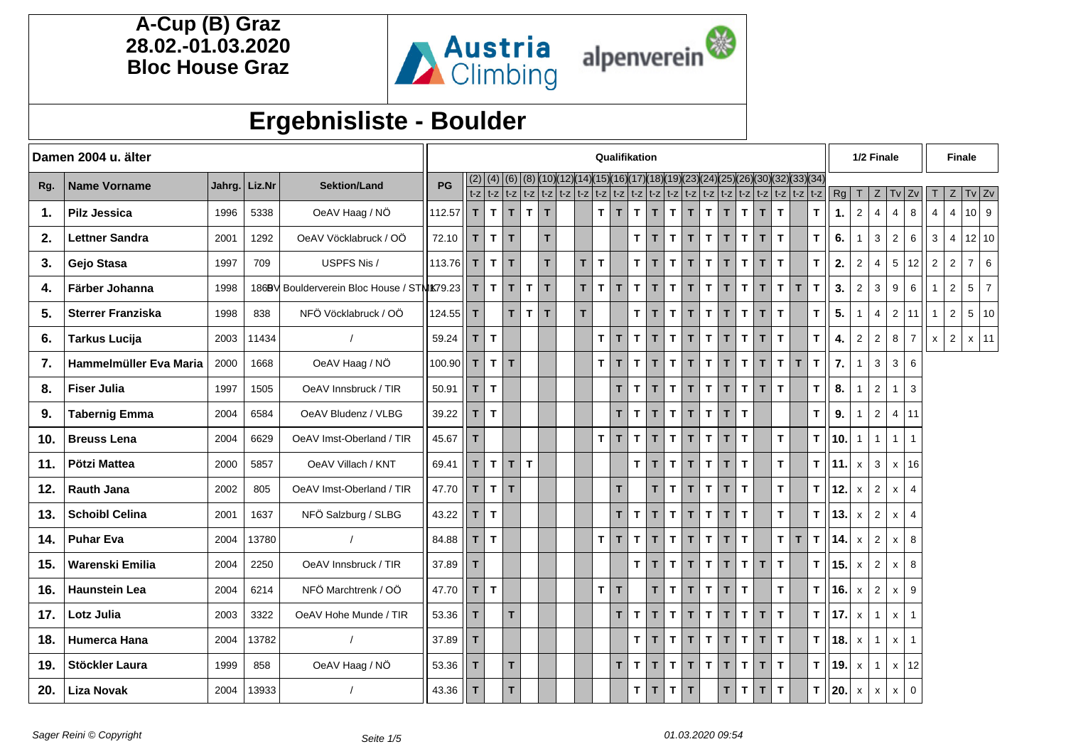

# **Ergebnisliste - Boulder**

|     | Damen 2004 u. älter      |      |               |                                                |               |              |              |              |              |              | Qualifikation                                                               |                          |                |                    |              |              |              |              |                                                           |              |              |              |              | 1/2 Finale |                |                  |                    | <b>Finale</b>  |                |                |                |                |
|-----|--------------------------|------|---------------|------------------------------------------------|---------------|--------------|--------------|--------------|--------------|--------------|-----------------------------------------------------------------------------|--------------------------|----------------|--------------------|--------------|--------------|--------------|--------------|-----------------------------------------------------------|--------------|--------------|--------------|--------------|------------|----------------|------------------|--------------------|----------------|----------------|----------------|----------------|----------------|
| Rq. | <b>Name Vorname</b>      |      | Jahrg. Liz.Nr | <b>Sektion/Land</b>                            | PG            | (2)          | (4)          | (6)          |              |              | t-z   t-z   t-z   t-z   t-z   t-z   t-z   t-z   t-z   t-z   t-z   t-z   t-z | (15)                     | (16) (17) (18) |                    | )(19)        | (23)(24)     |              | K25          | (26)(30)(32)(33)(34<br>$ t-z t-z t-z t-z t-z t-z t-z t-z$ |              |              |              |              | Rg         | т              | Ζ                | Tv                 | 2v             |                | Z              | $Tv$ Zv        |                |
| 1.  | <b>Pilz Jessica</b>      | 1996 | 5338          | OeAV Haag / NÖ                                 | 112.57        | T.           | $\mathbf T$  | $\mathbf{T}$ | $\mathbf{T}$ | T            |                                                                             | T.<br>$\mathbf{T}$       | T.             | T                  | $\mathbf{T}$ | T.           | T.           | T.           | $\mathbf T$                                               | T            | T.           |              | T            | 1.         | $\overline{2}$ | 4                | $\overline{4}$     | 8              | $\overline{4}$ | $\overline{4}$ | $10$ 9         |                |
| 2.  | <b>Lettner Sandra</b>    | 2001 | 1292          | OeAV Vöcklabruck / OÖ                          | 72.10         | $\mathbf{T}$ | $\mathbf{T}$ | $\mathbf{T}$ |              | T.           |                                                                             |                          |                | $T$ $T$            | $\mathsf{T}$ | T            | $\mathbf{T}$ | $\mathbf{T}$ | $\mathbf T$                                               | T            | $\mathbf{T}$ |              | $\mathbf{T}$ | 6.         |                | 3                | $\overline{2}$     | 6              | $\mathbf{3}$   | $\overline{4}$ | 12 10          |                |
| 3.  | Gejo Stasa               | 1997 | 709           | USPFS Nis /                                    | 113.76 T      |              | $\mathbf{T}$ | T.           |              | T.           | $\mathbf{r}$<br>$\top$                                                      |                          |                | $T$ $T$            | T.           | T.           | T.           | T            | T.                                                        | T            | T.           |              | T.           | 2.         | 2              | $\overline{4}$   | 5                  | 12             | 2              | 2              | $\overline{7}$ | 6              |
| 4.  | Färber Johanna           | 1998 |               | 1869V Boulderverein Bloc House / STMK79.23   T |               |              | $\mathbf{T}$ | $\mathbf{T}$ | $\mathbf{T}$ | $\mathbf{T}$ | $\mathbf{T}$<br>$\mathbf{T}$                                                | $\mathbf{T}$             | T.             | T                  | $\mathsf{T}$ | T            | T.           | T.           | $\mathbf T$                                               | T.           | $\mathbf{T}$ | T            | T.           | 3.         | $\overline{2}$ | 3                | 9                  | 6              |                | $\overline{2}$ | 5              | $\overline{7}$ |
| 5.  | <b>Sterrer Franziska</b> | 1998 | 838           | NFÖ Vöcklabruck / OÖ                           | 124.55 $  $ T |              |              | $\mathbf{r}$ | T            | $\mathbf{r}$ | $\mathbf{r}$                                                                |                          |                | $T$ $T$            | $\mathbf{T}$ | T            | $\mathbf{T}$ | $\mathbf T$  | $\mathbf{T}$                                              | $\mathbf{T}$ | $\mathbf{T}$ |              | $\mathbf{T}$ | 5.         |                | $\overline{4}$   | $\overline{2}$     | 11             | $\overline{1}$ | $\overline{2}$ | 5              | 10             |
| 6.  | <b>Tarkus Lucija</b>     | 2003 | 11434         |                                                | 59.24         | T            | $\mathbf{T}$ |              |              |              |                                                                             | T T                      | T.             | $\mathbf{T}$       | T.           | T            | T.           | T            | T.                                                        | T            | T.           |              | T.           | 4.         | 2              | $\overline{2}$   | 8                  | $\overline{7}$ | X              | 2              | $x \mid 11$    |                |
| 7.  | Hammelmüller Eva Maria   | 2000 | 1668          | OeAV Haag / NÖ                                 | 100.90        | T            | $\mathbf{T}$ | T.           |              |              |                                                                             | $\tau$  <br>$\mathbf{T}$ | T.             | T                  | T.           | T.           | T.           | T            | $\mathbf T$                                               | T            | $\mathbf{T}$ | T            | T.           | 7.         |                | 3                | 3                  | 6              |                |                |                |                |
| 8.  | <b>Fiser Julia</b>       | 1997 | 1505          | OeAV Innsbruck / TIR                           | 50.91         | $\mathsf{T}$ | $\mathbf{T}$ |              |              |              |                                                                             | $\mathbf{T}$             | T.             | $\mathbf{T}$       | T            | T            | $\mathbf{T}$ | $\mathbf{T}$ | $\mathbf{T}$                                              | T            | $\mathbf{T}$ |              | T.           | 8.         |                | $\overline{2}$   | $\mathbf{1}$       | 3              |                |                |                |                |
| 9.  | <b>Tabernig Emma</b>     | 2004 | 6584          | OeAV Bludenz / VLBG                            | 39.22         | T            | $\mathsf{T}$ |              |              |              |                                                                             | T                        | T.             | T                  | T.           | T.           | T.           | T            | T.                                                        |              |              |              | T.           | 9.         |                | $\mathbf 2$      | $\overline{4}$     | 11             |                |                |                |                |
| 10. | <b>Breuss Lena</b>       | 2004 | 6629          | OeAV Imst-Oberland / TIR                       | 45.67         | T            |              |              |              |              |                                                                             | $T$ $T$                  | T.             | $\hat{\mathbf{T}}$ | $\mathbf{T}$ | T            | $\mathbf{T}$ | T            | T.                                                        |              | T.           |              | T.           | 10.        |                | $\mathbf{1}$     | $\mathbf{1}$       | $\overline{1}$ |                |                |                |                |
| 11. | Pötzi Mattea             | 2000 | 5857          | OeAV Villach / KNT                             | 69.41         | T            | $\mathbf{T}$ | T.           | $\mathbf{T}$ |              |                                                                             |                          |                | $T$ $T$            | T            | $\mathbf{T}$ | T.           | $\mathbf{T}$ | T.                                                        |              | $\mathbf{T}$ |              | $\mathsf{T}$ | 11.        | $\mathsf{x}$   | 3                | $\mathsf{x}$       | 16             |                |                |                |                |
| 12. | <b>Rauth Jana</b>        | 2002 | 805           | OeAV Imst-Oberland / TIR                       | 47.70         | T.           | $\mathbf{T}$ | $\mathbf{T}$ |              |              |                                                                             | T                        |                | T                  | $\mathbf{T}$ | T.           | T.           | T            | T.                                                        |              | $\mathbf{T}$ |              | T.           | 12.        | $\mathsf{x}$   | $\boldsymbol{2}$ | $\pmb{\mathsf{x}}$ | $\overline{4}$ |                |                |                |                |
| 13. | <b>Schoibl Celina</b>    | 2001 | 1637          | NFÖ Salzburg / SLBG                            | 43.22         | T            | $\mathbf{T}$ |              |              |              |                                                                             | $\mathbf{T}$             | T.             | T                  | T            | T.           | T.           | T            | T.                                                        |              | $\mathbf{T}$ |              | T.           | 13.        | $\mathsf{x}$   | $\overline{c}$   | $\mathsf{x}$       | $\overline{4}$ |                |                |                |                |
| 14. | <b>Puhar Eva</b>         | 2004 | 13780         |                                                | 84.88         | T            | $\mathbf{T}$ |              |              |              |                                                                             | $T$ $T$                  | T.             | T                  | $\mathbf{T}$ | T            | $\mathbf{T}$ | $\mathbf{T}$ | $\mathbf{T}$                                              |              | $\mathbf{T}$ | $\mathsf{T}$ | T.           | 14.        | $\mathsf{x}$   | 2                | X                  | 8              |                |                |                |                |
| 15. | Warenski Emilia          | 2004 | 2250          | OeAV Innsbruck / TIR                           | 37.89         | T            |              |              |              |              |                                                                             |                          | $\mathbf{T}$   | $\mathbf{T}$       | T.           | T.           | T.           | T            | T.                                                        | T.           | $\mathbf{T}$ |              | T.           | 15.        | $\mathsf{x}$   | $\boldsymbol{2}$ | x                  | 8              |                |                |                |                |
| 16. | <b>Haunstein Lea</b>     | 2004 | 6214          | NFÖ Marchtrenk / OÖ                            | 47.70         | T.           | $\mathbf{T}$ |              |              |              |                                                                             | $T$ $\overline{T}$       |                | T.                 | $\mathsf{T}$ | T            | T.           | $\mathbf{T}$ | T.                                                        |              | T.           |              | T.           | 16.        | $\mathsf{x}$   | $\overline{c}$   | $\mathsf{x}$       | 9              |                |                |                |                |
| 17. | Lotz Julia               | 2003 | 3322          | OeAV Hohe Munde / TIR                          | 53.36         | $\mathbf{T}$ |              | $\mathbf{r}$ |              |              |                                                                             | T.                       | $\mathbf{T}$   | T                  | $\mathbf{T}$ | T.           | $\mathbf{T}$ | $\mathbf{T}$ | $\mathbf T$                                               | T.           | $\mathbf{T}$ |              | $\mathbf T$  | 17.        | $\mathsf{x}$   | $\mathbf{1}$     | X                  | $\overline{1}$ |                |                |                |                |
| 18. | Humerca Hana             | 2004 | 13782         |                                                | 37.89         | T.           |              |              |              |              |                                                                             |                          | T.             | $\mathbf{T}$       | T.           | T            | T.           | T.           | T.                                                        | T.           | $\mathbf{T}$ |              | T.           | 18.        | $\mathsf{x}$   | $\mathbf{1}$     | $\pmb{\mathsf{x}}$ | $\mathbf{1}$   |                |                |                |                |
| 19. | Stöckler Laura           | 1999 | 858           | OeAV Haag / NÖ                                 | 53.36         | T            |              | $\mathbf{r}$ |              |              |                                                                             | $\mathbf{T}$             | T.             | T                  | T.           | T.           | T.           | T            | T.                                                        | T            | $\mathbf{T}$ |              | T.           | 19.        | $\mathsf{x}$   | $\mathbf{1}$     | $\mathsf{x}$       | 12             |                |                |                |                |
| 20. | <b>Liza Novak</b>        | 2004 | 13933         |                                                | 43.36         | II T         |              | $\mathbf{r}$ |              |              |                                                                             |                          |                | $T$ $T$            | $\mathbf{T}$ | $\mathbf{T}$ |              | T            | T.                                                        | T            | $\mathbf{T}$ |              | T.           | 20.        | $\mathsf{x}$   | X                | X                  | $\mathbf 0$    |                |                |                |                |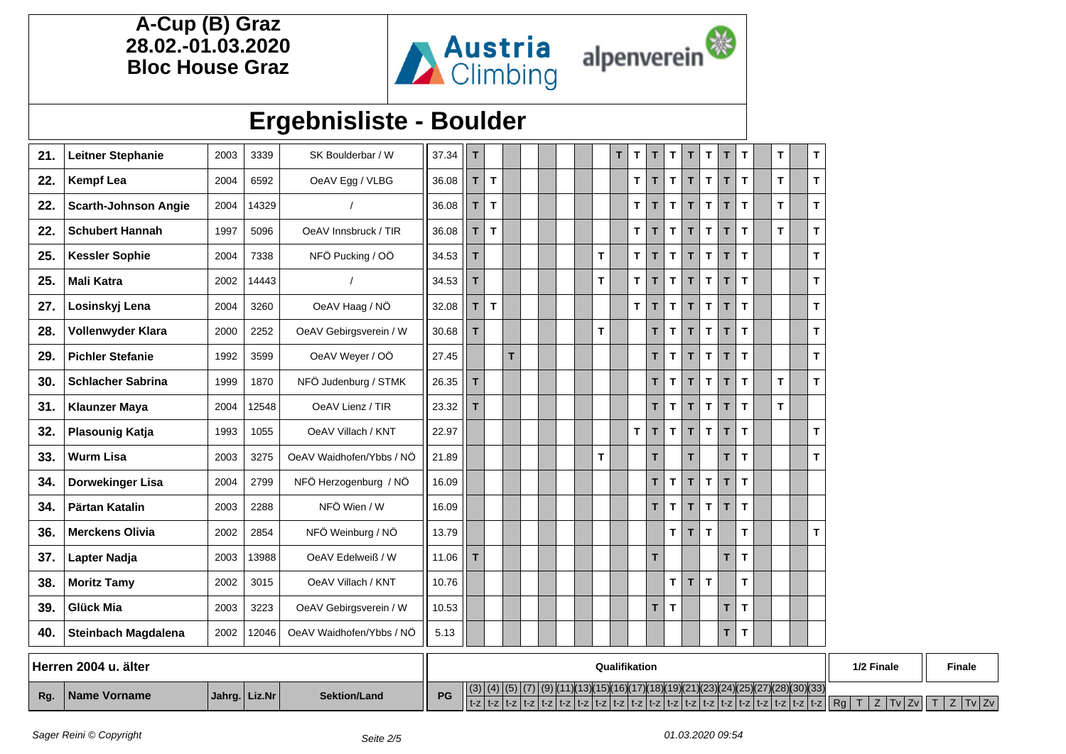



## **Ergebnisliste - Boulder**

| 21. | <b>Leitner Stephanie</b>    | 2003 | 3339  | SK Boulderbar / W        | 37.34 | т  |    |    |  |    | T. | T            | T  | $\mathbf{T}$ | T. | T.           | T  | T  | T. | т  |
|-----|-----------------------------|------|-------|--------------------------|-------|----|----|----|--|----|----|--------------|----|--------------|----|--------------|----|----|----|----|
| 22. | <b>Kempf Lea</b>            | 2004 | 6592  | OeAV Egg / VLBG          | 36.08 | т  | T. |    |  |    |    | T.           | T. | T.           | T. | T            | T  | T  | T. | т  |
| 22. | <b>Scarth-Johnson Angie</b> | 2004 | 14329 |                          | 36.08 | T  | T. |    |  |    |    | T.           | T. | $\mathbf{T}$ | T. | T.           | T. | T  | T. | т  |
| 22. | <b>Schubert Hannah</b>      | 1997 | 5096  | OeAV Innsbruck / TIR     | 36.08 | T. | T  |    |  |    |    | T            | T. | T.           | T. | T            | T  | T  | T. | Т  |
| 25. | <b>Kessler Sophie</b>       | 2004 | 7338  | NFÖ Pucking / OÖ         | 34.53 | T  |    |    |  | T. |    | T.           | T. | T.           | T. | $\mathbf{T}$ | T  | T. |    | т  |
| 25. | <b>Mali Katra</b>           | 2002 | 14443 |                          | 34.53 | T. |    |    |  | T. |    | T            | T  | T.           | T. | $\mathbf{T}$ | T  | T  |    | т  |
| 27. | Losinskyj Lena              | 2004 | 3260  | OeAV Haag / NÖ           | 32.08 | T. | T. |    |  |    |    | T.           | T  | T.           | T. | T.           | T  | T  |    | т  |
| 28. | Vollenwyder Klara           | 2000 | 2252  | OeAV Gebirgsverein / W   | 30.68 | T. |    |    |  | T. |    |              | T. | $\mathbf{T}$ | T  | T.           | T  | T  |    | т  |
| 29. | <b>Pichler Stefanie</b>     | 1992 | 3599  | OeAV Weyer / OÖ          | 27.45 |    |    | T. |  |    |    |              | T  | T.           | T  | T.           | T  | T  |    | т  |
| 30. | <b>Schlacher Sabrina</b>    | 1999 | 1870  | NFÖ Judenburg / STMK     | 26.35 | T. |    |    |  |    |    |              | T. | $\mathbf{T}$ | T. | $\mathbf{T}$ | T  | T  | T. | T. |
| 31. | <b>Klaunzer Maya</b>        | 2004 | 12548 | OeAV Lienz / TIR         | 23.32 | т  |    |    |  |    |    |              | T. | T.           | T. | $\mathbf{T}$ | T  | T  | T. |    |
| 32. | <b>Plasounig Katja</b>      | 1993 | 1055  | OeAV Villach / KNT       | 22.97 |    |    |    |  |    |    | $\mathbf{T}$ | T  | T.           | T. | T.           | T  | T  |    | т  |
| 33. | <b>Wurm Lisa</b>            | 2003 | 3275  | OeAV Waidhofen/Ybbs / NÖ | 21.89 |    |    |    |  | T. |    |              | T. |              | T  |              | T  | T  |    | т  |
| 34. | <b>Dorwekinger Lisa</b>     | 2004 | 2799  | NFÖ Herzogenburg / NÖ    | 16.09 |    |    |    |  |    |    |              | T. | T            | T  | T            | T  | T  |    |    |
| 34. | Pärtan Katalin              | 2003 | 2288  | NFÖ Wien / W             | 16.09 |    |    |    |  |    |    |              | T. | T.           | T. | T.           | т  | T. |    |    |
| 36. | <b>Merckens Olivia</b>      | 2002 | 2854  | NFÖ Weinburg / NÖ        | 13.79 |    |    |    |  |    |    |              |    | T.           | T. | T.           |    | T. |    | т  |
| 37. | Lapter Nadja                | 2003 | 13988 | OeAV Edelweiß / W        | 11.06 | т  |    |    |  |    |    |              | T. |              |    |              | T  | T. |    |    |
| 38. | <b>Moritz Tamy</b>          | 2002 | 3015  | OeAV Villach / KNT       | 10.76 |    |    |    |  |    |    |              |    | T.           | T  | T.           |    | T. |    |    |
| 39. | <b>Glück Mia</b>            | 2003 | 3223  | OeAV Gebirgsverein / W   | 10.53 |    |    |    |  |    |    |              | T  | T            |    |              | T  | T  |    |    |
| 40. | Steinbach Magdalena         | 2002 | 12046 | OeAV Waidhofen/Ybbs / NÖ | 5.13  |    |    |    |  |    |    |              |    |              |    |              | T  | T. |    |    |
|     |                             |      |       |                          |       |    |    |    |  |    |    |              |    |              |    |              |    |    |    |    |

|     | Herren 2004 u. älter |               |                     |    | Qualifikation                                          | 1/2 Finale      | <b>Finale</b> |
|-----|----------------------|---------------|---------------------|----|--------------------------------------------------------|-----------------|---------------|
| Rg. | <b>Name Vorname</b>  | Jahrg. Liz.Nr | <b>Sektion/Land</b> | PG | ) (23) (24) (25) (27) (28) (30) (33)<br>W(18)(19)(21)( | l Ra<br>[v   Zv |               |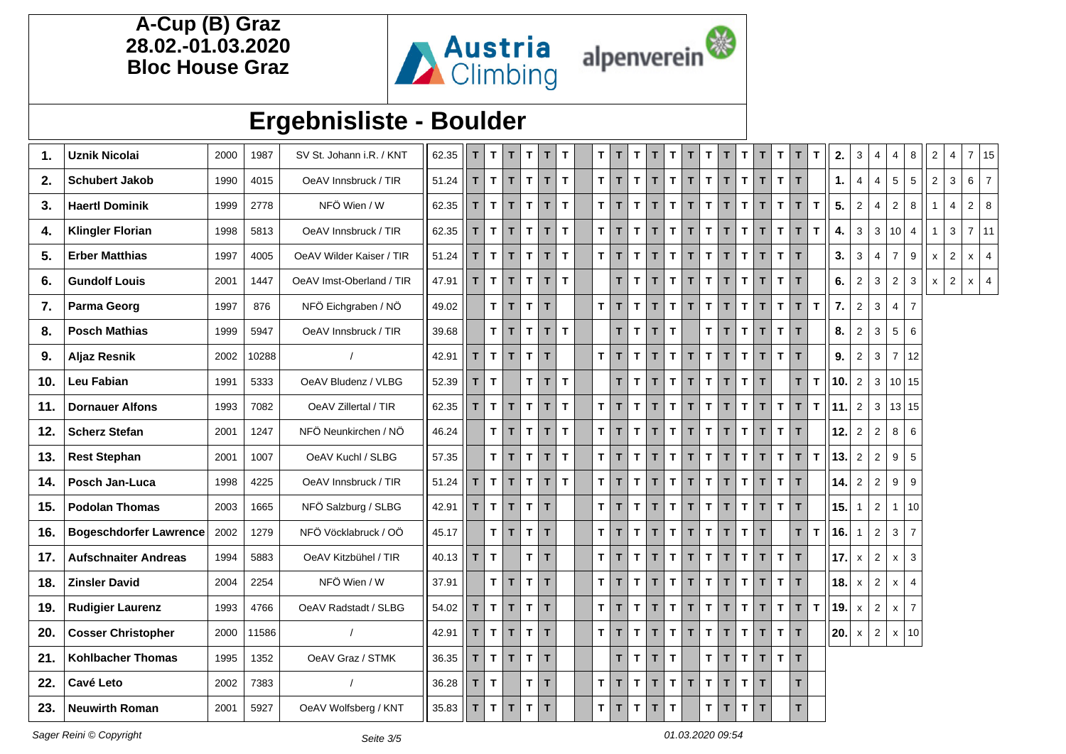

## **Ergebnisliste - Boulder**

| 1.  | <b>Uznik Nicolai</b>          | 2000 | 1987  | SV St. Johann i.R. / KNT | 62.35 | T            | $\top$       | T            | $\mathbf{T}$       | T            | T.           | T.           | $\mathbf{T}$ | T.            | т            | T.           | T.           | T.           | T.           | T                          | $\mathbf T$<br>T.  | т                            | $\mathbf{T}$ | 2.               | 3              | 4              | 4                       | 8               | $\overline{2}$     | $\overline{4}$ | 7 15               |                |
|-----|-------------------------------|------|-------|--------------------------|-------|--------------|--------------|--------------|--------------------|--------------|--------------|--------------|--------------|---------------|--------------|--------------|--------------|--------------|--------------|----------------------------|--------------------|------------------------------|--------------|------------------|----------------|----------------|-------------------------|-----------------|--------------------|----------------|--------------------|----------------|
| 2.  | <b>Schubert Jakob</b>         | 1990 | 4015  | OeAV Innsbruck / TIR     | 51.24 | T            | $\mathbf{T}$ | $\mathbf{T}$ | $\mathbf{T}$       | T            | $\mathbf{T}$ | тI           | $\mathbf{T}$ | T.            | $\mathbf{T}$ | T.           | $\mathsf{T}$ | $\mathbf{T}$ | T            | $\mathbf{T}$               | $\mathbf{T}$       | T.<br>$\mathbf{T}$           |              | 1.               | $\overline{4}$ | $\overline{4}$ | 5                       | 5               | $\overline{2}$     | $\mathbf{3}$   | $6\overline{6}$    | $\overline{7}$ |
| 3.  | <b>Haertl Dominik</b>         | 1999 | 2778  | NFÖ Wien / W             | 62.35 | T            | $\mathbf{T}$ | T            | $\mathsf{T}$       | $\mathbf{T}$ | T.           | $\mathbf{T}$ | T            | T.            | T            | T.           | T.           | $\mathbf{T}$ | T.           | T                          | T.<br>T.           | T                            | $\mathbf{T}$ | 5.               | $\overline{2}$ | $\overline{4}$ | $\overline{2}$          | 8               |                    | $\overline{4}$ | $\overline{2}$     | 8              |
| 4.  | <b>Klingler Florian</b>       | 1998 | 5813  | OeAV Innsbruck / TIR     | 62.35 | $\mathsf{T}$ | $\mathbf T$  | $\mathbf{T}$ | $\mathbf{T}$       | T            | $\mathbf{T}$ | $\mathbf{T}$ | $\mathbf T$  | T.            | $\mathbf{T}$ | $\mathbf{T}$ | $\mathsf{T}$ | $\mathbf{T}$ | T            | $\mathbf T$                | $\mathsf{T}$       | $\mathbf{T}$<br>T            | $\mathbf{T}$ | 4.               | $\mathbf{3}$   | $\mathbf{3}$   | 10                      | $\overline{4}$  |                    | $\mathbf{3}$   | 7 11               |                |
| 5.  | <b>Erber Matthias</b>         | 1997 | 4005  | OeAV Wilder Kaiser / TIR | 51.24 | $\mathbf T$  | $\mathbf T$  | $\mathbf T$  | $\mathbf{T}$       | T            | T.           | $\mathbf{T}$ | $\mathbf{T}$ | $\mathbf{T}$  | $\mathbf{T}$ | T.           | $\mathsf{T}$ | $\mathbf{T}$ | $\mathbf{T}$ | $\mathbf{T}$               | $\mathbf{T}$       | $\mathbf{T}$<br>T.           |              | 3.               | 3              | $\overline{4}$ | $\overline{7}$          | 9               | $\pmb{\mathsf{x}}$ | $\sqrt{2}$     | $\pmb{\mathsf{X}}$ | $\overline{4}$ |
| 6.  | <b>Gundolf Louis</b>          | 2001 | 1447  | OeAV Imst-Oberland / TIR | 47.91 | T            | $\mathbf{T}$ | $\mathbf{T}$ | T                  | T            | T            |              | T.           | T             | $\mathbf{T}$ | $\mathbf{T}$ | T            | $\mathsf{T}$ | T.           | $\mathbf{T}$               | $\mathbf{T}$       | $\mathbf{T}$<br>T            |              | 6.               | $\overline{2}$ | 3              | $\mathbf{2}$            | 3               | $\mathsf{x}$       | 2              | $x \mid$           | $\overline{4}$ |
| 7.  | <b>Parma Georg</b>            | 1997 | 876   | NFÖ Eichgraben / NÖ      | 49.02 |              | $T$ $T$      |              | $T$ $T$            |              |              | $\mathbf{T}$ | $\mathbf{T}$ | T.            | T            | T.           | T            | T.           | T.           | $\mathbf T$                | $\mathbf{T}$<br>T. | T                            | T.           | $\overline{7}$ . | $\overline{2}$ | 3              | $\overline{\mathbf{A}}$ | $\overline{7}$  |                    |                |                    |                |
| 8.  | <b>Posch Mathias</b>          | 1999 | 5947  | OeAV Innsbruck / TIR     | 39.68 |              | T            | $ \tau $     | $\mathbf{T}$       | T.           | T.           |              | T.           | T.            | T            | T.           |              | $\mathbf{T}$ | T            | $\mathbf T$                | T.                 | $\mathbf{T}$<br>T            |              | 8.               | $\overline{2}$ | $\mathbf{3}$   | 5                       | 6               |                    |                |                    |                |
| 9.  | <b>Aljaz Resnik</b>           | 2002 | 10288 |                          | 42.91 | T.           | $\mathbf{T}$ | $\mathbf{T}$ | $T$ $\overline{r}$ |              |              | T.           | $\mathbf{T}$ | T.            | T            | T.           | T.           | $\mathbf{T}$ | T.           | $\mathbf{T}$               | T.                 | $\mathbf{T}$<br>T            |              | 9.               | 2              | 3              | $\overline{7}$          | 12              |                    |                |                    |                |
| 10. | Leu Fabian                    | 1991 | 5333  | OeAV Bludenz / VLBG      | 52.39 | T            | $\mathbf{T}$ |              | T                  | T            | $\mathbf{T}$ |              | T.           | $T$ $T$       |              | T            | $\mathsf{T}$ | $\mathbf{T}$ | T            | $\mathbf T$<br>$\mathbf T$ |                    | T                            | $\mathbf T$  | 10.              | $\overline{2}$ | $\mathbf{3}$   |                         | 10 15           |                    |                |                    |                |
| 11. | <b>Dornauer Alfons</b>        | 1993 | 7082  | OeAV Zillertal / TIR     | 62.35 | T.           | $\mathbf{T}$ | $\mathbf{T}$ | T                  | T            | T.           | T.           | $\mathbf{T}$ | T.            | $\mathbf{T}$ | T.           | T.           | $\mathbf{T}$ | T            | T.                         | T.<br>$\mathbf{T}$ | T                            | $\mathbf{T}$ | 111.             | $\overline{2}$ | 3              |                         | 13 15           |                    |                |                    |                |
| 12. | <b>Scherz Stefan</b>          | 2001 | 1247  | NFÖ Neunkirchen / NÖ     | 46.24 |              | $T$ $T$      |              | $\mathbf{T}$       | T            | T.           | T            | $\mathbf{T}$ | T             | $\mathbf{T}$ | $\mathbf{T}$ | T            | T.           | T.           | T                          | T.                 | T.<br>T                      |              | 12.              | 2              | $\overline{2}$ | 8                       | $6\overline{6}$ |                    |                |                    |                |
| 13. | <b>Rest Stephan</b>           | 2001 | 1007  | OeAV Kuchl / SLBG        | 57.35 |              | $\mathbf{T}$ | T            | $\mathbf{T}$       | T            | T.           | T.           | T            | T.            | T            | T.           | T.           | T.           | T.           | T                          | T.<br>T.           | T                            | T            | 13.              | $\overline{2}$ | $\overline{2}$ | 9                       | 5               |                    |                |                    |                |
| 14. | Posch Jan-Luca                | 1998 | 4225  | OeAV Innsbruck / TIR     | 51.24 | $\mathbf{T}$ | $\mathbf{T}$ | $\mathbf{T}$ | T                  | T            | $\mathbf{T}$ | $\mathbf{T}$ | $\mathbf{T}$ | $\mathbf{T}$  | $\mathbf{T}$ | $\mathbf{T}$ | $\mathbf{T}$ | $\mathbf{T}$ | $\mathbf{T}$ | $\mathbf T$                | $\mathbf{T}$       | $\mathbf{T}$<br>$\mathbf{T}$ |              | 14.              | $\overline{2}$ | $\overline{2}$ | 9                       | 9               |                    |                |                    |                |
| 15. | <b>Podolan Thomas</b>         | 2003 | 1665  | NFÖ Salzburg / SLBG      | 42.91 | T            | $\mathbf{T}$ | $\mathbf{T}$ | $T$ $\overline{r}$ |              |              | тI           | T            | T.            | $\mathbf{T}$ | $\mathbf{T}$ | T            | $\mathbf{T}$ | T.           | $\mathbf{T}$               | $\mathbf{T}$       | $\mathbf{T}$<br>$\mathbf{T}$ |              | 15.              | $\mathbf{1}$   | $\overline{2}$ | $\mathbf{1}$            | 10              |                    |                |                    |                |
| 16. | <b>Bogeschdorfer Lawrence</b> | 2002 | 1279  | NFÖ Vöcklabruck / OÖ     | 45.17 |              | $\mathbf{T}$ | T            | $T$ $T$            |              |              | T.           | $\mathbf{T}$ | T.            | T            | T.           | T.           | $\mathbf{T}$ | T.           | T.                         | T.                 | T                            | $\mathbf{T}$ | 16.              |                | $\overline{2}$ | 3                       | $\overline{7}$  |                    |                |                    |                |
| 17. | <b>Aufschnaiter Andreas</b>   | 1994 | 5883  | OeAV Kitzbühel / TIR     | 40.13 | T.           | $\mathbf{T}$ |              | тI                 | $\mathbf{T}$ |              | $\mathbf{T}$ | $\mathbf{T}$ | $\mathbf{T}$  | $\mathbf{T}$ | T.           | $\mathbf{T}$ | $\mathbf{T}$ | T.           | $\mathbf T$                | $\mathsf{T}$       | $\mathbf{T}$<br>T            |              | 17.              | $\mathsf{x}$   | $\overline{2}$ | $\mathsf{x}$            | $\mathbf{3}$    |                    |                |                    |                |
| 18. | <b>Zinsler David</b>          | 2004 | 2254  | NFÖ Wien / W             | 37.91 |              | $\mathbf{T}$ | T            | $T$ $T$            |              |              | T.           | T            | T.            | T            | T.           | T.           | T.           | T.           | T.                         | T.                 | $\mathbf{T}$<br>T            |              | 18.              | $\mathsf{x}$   | $\overline{2}$ | $\mathsf{x}$            | $\overline{4}$  |                    |                |                    |                |
| 19. | <b>Rudigier Laurenz</b>       | 1993 | 4766  | OeAV Radstadt / SLBG     | 54.02 | $\mathbf{T}$ | $\mathbf T$  | $\mathbf T$  | $T$ $T$            |              |              | T.           | $\mathbf{T}$ | T.            | $\mathbf{T}$ | $\mathbf{T}$ | T            | $\mathbf{T}$ | T            | $\mathbf T$                | $\mathbf{T}$       | $\mathbf{T}$<br>$\mathbf{T}$ | $\mathbf{T}$ | ∥19.             | $\mathsf{x}$   | $\overline{2}$ | $\mathsf{x}$            | $\overline{7}$  |                    |                |                    |                |
| 20. | <b>Cosser Christopher</b>     | 2000 | 11586 |                          | 42.91 | T            | $\mathbf{T}$ | $\mathbf T$  | $T$ $T$            |              |              | тI           | T            | T.            | $\mathbf{T}$ | T.           | T.           | $\mathbf{T}$ | T            | T.                         | T.<br>T.           | T                            |              | 20.              | $\mathsf{x}$   | $\overline{2}$ | $\mathsf{x}$            | 10              |                    |                |                    |                |
| 21. | <b>Kohlbacher Thomas</b>      | 1995 | 1352  | OeAV Graz / STMK         | 36.35 | T            | $\top$       | $\mathbf{T}$ | $T$ $T$            |              |              |              | T.           | T.            | T            | T.           |              | T.           | T.           | T.                         | T.<br>T.           | T                            |              |                  |                |                |                         |                 |                    |                |                    |                |
| 22. | <b>Cavé Leto</b>              | 2002 | 7383  |                          | 36.28 | $\mathsf T$  | $\mathbf{T}$ |              | $T$ $\vert T$      |              |              | T.           | T            | T.            | T            | T.           | T.           | T.           | T            | $\mathbf T$                | $\mathbf{T}$       | T.                           |              |                  |                |                |                         |                 |                    |                |                    |                |
| 23. | <b>Neuwirth Roman</b>         | 2001 | 5927  | OeAV Wolfsberg / KNT     | 35.83 | T            | T            | T            | $T$ $T$            |              |              | тI           | $\top$       | $T$ $\vert T$ |              | $\mathbf{T}$ |              | T.           | T.           | T.                         | $\mathbf{T}$       | T                            |              |                  |                |                |                         |                 |                    |                |                    |                |
|     |                               |      |       |                          |       |              |              |              |                    |              |              |              |              |               |              |              |              |              |              |                            |                    |                              |              |                  |                |                |                         |                 |                    |                |                    |                |

Sager Reini © Copyright Contract Contract Contract Contract Contract Contract Contract Contract Contract Contract Contract Contract Contract Contract Contract Contract Contract Contract Contract Contract Contract Contract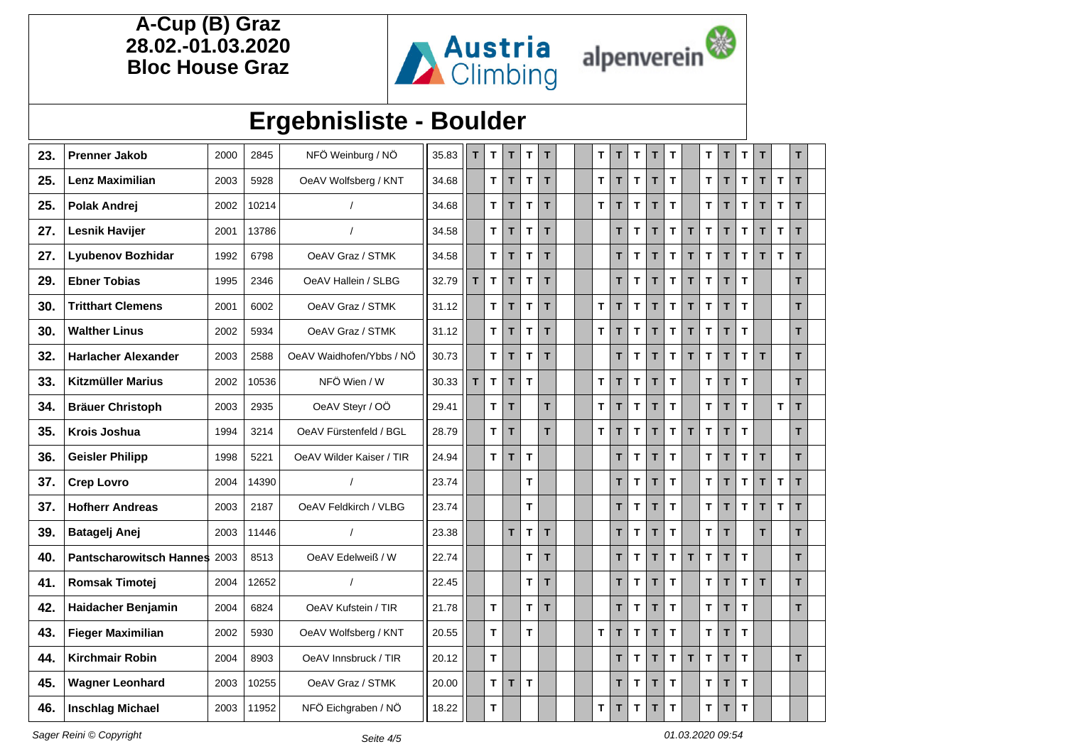

## **Ergebnisliste - Boulder**

| 23. | <b>Prenner Jakob</b>       | 2000 | 2845  | NFÖ Weinburg / NÖ        | 35.83 | T. | $\mathsf T$  | T            | T            | T. |  | T  | T  | T           | т  | $\mathbf T$  |    | T.           | T | T            | T            |              | т  |
|-----|----------------------------|------|-------|--------------------------|-------|----|--------------|--------------|--------------|----|--|----|----|-------------|----|--------------|----|--------------|---|--------------|--------------|--------------|----|
| 25. | <b>Lenz Maximilian</b>     | 2003 | 5928  | OeAV Wolfsberg / KNT     | 34.68 |    | T.           | T.           | $\mathbf{T}$ | T. |  | T  | T. | T           | T  | T            |    | T.           | T | T            | T            | $\mathbf{T}$ | T. |
| 25. | <b>Polak Andrej</b>        | 2002 | 10214 | $\overline{I}$           | 34.68 |    | T.           | $\mathbf T$  | T            | T. |  | T. | T  | T           | T  | T            |    | T.           | T | T            | T            | $\mathbf T$  | T  |
| 27. | <b>Lesnik Havijer</b>      | 2001 | 13786 |                          | 34.58 |    | T.           | T.           | $\mathbf{T}$ | T. |  |    | T  | T.          | T. | T            | T. | T.           | T | T            | T            | $\mathbf T$  | T. |
| 27. | <b>Lyubenov Bozhidar</b>   | 1992 | 6798  | OeAV Graz / STMK         | 34.58 |    | T.           | $\mathsf T$  | $\mathbf T$  | T  |  |    | T  | T           | T  | $\mathsf T$  | T. | $\mathbf T$  | T | $\mathbf{T}$ | $\mathbf{T}$ | $\mathbf T$  | T. |
| 29. | <b>Ebner Tobias</b>        | 1995 | 2346  | OeAV Hallein / SLBG      | 32.79 | T  | $\mathbf{T}$ | T.           | T            | T  |  |    | T  | T.          | T. | $\mathbf{T}$ | T. | $\mathbf{T}$ | T | T            |              |              | T. |
| 30. | <b>Tritthart Clemens</b>   | 2001 | 6002  | OeAV Graz / STMK         | 31.12 |    | T.           | T.           | T.           | T. |  | T  | T  | T           | T  | $\mathsf T$  | T. | T            | T | T            |              |              | T. |
| 30. | <b>Walther Linus</b>       | 2002 | 5934  | OeAV Graz / STMK         | 31.12 |    | T.           | T            | T            | T. |  | T  | T  | T.          | T. | $\mathbf T$  | T. | T            | T | T            |              |              | T. |
| 32. | <b>Harlacher Alexander</b> | 2003 | 2588  | OeAV Waidhofen/Ybbs / NÖ | 30.73 |    | T            | $\mathbf T$  | $\mathsf T$  | T  |  |    | T  | $\mathbf T$ | T  | $\mathsf T$  | T. | $\mathbf{T}$ | T | $\mathbf{T}$ | T            |              | T. |
| 33. | <b>Kitzmüller Marius</b>   | 2002 | 10536 | NFÖ Wien / W             | 30.33 | T. | $\mathbf{T}$ | $\mathbf{T}$ | $\mathbf{T}$ |    |  | T  | T  | T           | T  | $\mathbf{T}$ |    | T.           | T | T            |              |              | T. |
| 34. | <b>Bräuer Christoph</b>    | 2003 | 2935  | OeAV Steyr / OÖ          | 29.41 |    | T.           | T.           |              | T. |  | T  | T. | T           | T  | $\mathbf{T}$ |    | T            | T | T            |              | T            | T. |
| 35. | Krois Joshua               | 1994 | 3214  | OeAV Fürstenfeld / BGL   | 28.79 |    | T.           | T            |              | T. |  | T  | T  | T           | T. | $\mathbf T$  | T  | T            | T | T            |              |              | T. |
| 36. | <b>Geisler Philipp</b>     | 1998 | 5221  | OeAV Wilder Kaiser / TIR | 24.94 |    | T.           | T            | $\mathbf T$  |    |  |    | T  | T           | T  | $\mathbf T$  |    | T            | T | T            | T            |              | T. |
| 37. | <b>Crep Lovro</b>          | 2004 | 14390 |                          | 23.74 |    |              |              | $\mathbf{T}$ |    |  |    | T. | T           | T  | $\mathbf{T}$ |    | $\mathbf{T}$ | T | T            | T            | T            | T. |
| 37. | <b>Hofherr Andreas</b>     | 2003 | 2187  | OeAV Feldkirch / VLBG    | 23.74 |    |              |              | T            |    |  |    | T  | T           | T  | $\mathbf T$  |    | $\mathbf{T}$ | T | T            | $\mathbf{T}$ | $\mathbf T$  | T. |
| 39. | <b>Batagelj Anej</b>       | 2003 | 11446 | $\prime$                 | 23.38 |    |              | T            | $\mathbf{T}$ | T  |  |    | T. | T           | T  | T            |    | T            | T |              | T            |              | T. |
| 40. | Pantscharowitsch Hannes    | 2003 | 8513  | OeAV Edelweiß / W        | 22.74 |    |              |              | T.           | T. |  |    | T  | T           | T  | $\mathbf T$  | T  | T            | T | T            |              |              | T. |
| 41. | <b>Romsak Timotej</b>      | 2004 | 12652 | $\prime$                 | 22.45 |    |              |              | T.           | T  |  |    | T  | T           | T. | $\mathbf{T}$ |    | T            | T | T.           | T            |              | T. |
| 42. | Haidacher Benjamin         | 2004 | 6824  | OeAV Kufstein / TIR      | 21.78 |    | T.           |              | $\mathbf{T}$ | T  |  |    | T  | T           | T  | $\mathbf T$  |    | $\mathbf{T}$ | T | $\mathbf{T}$ |              |              | T. |
| 43. | <b>Fieger Maximilian</b>   | 2002 | 5930  | OeAV Wolfsberg / KNT     | 20.55 |    | T.           |              | T            |    |  | T  | T. | T           | T. | $\mathbf{T}$ |    | T.           | T | T            |              |              |    |
| 44. | <b>Kirchmair Robin</b>     | 2004 | 8903  | OeAV Innsbruck / TIR     | 20.12 |    | T            |              |              |    |  |    | T. | T           | T  | T            | T. | T            | T | T            |              |              | T. |
| 45. | <b>Wagner Leonhard</b>     | 2003 | 10255 | OeAV Graz / STMK         | 20.00 |    | T            | T.           | $\mathbf T$  |    |  |    | T  | T           | T. | $\mathbf{T}$ |    | T.           | T | T            |              |              |    |
| 46. | <b>Inschlag Michael</b>    | 2003 | 11952 | NFÖ Eichgraben / NÖ      | 18.22 |    | T            |              |              |    |  | T  | T  | T           | T  | $\mathbf T$  |    | T.           | T | T            |              |              |    |

Sager Reini © Copyright Contract Contract Contract Contract Contract Contract Contract Contract Contract Contract Contract Contract Contract Contract Contract Contract Contract Contract Contract Contract Contract Contract